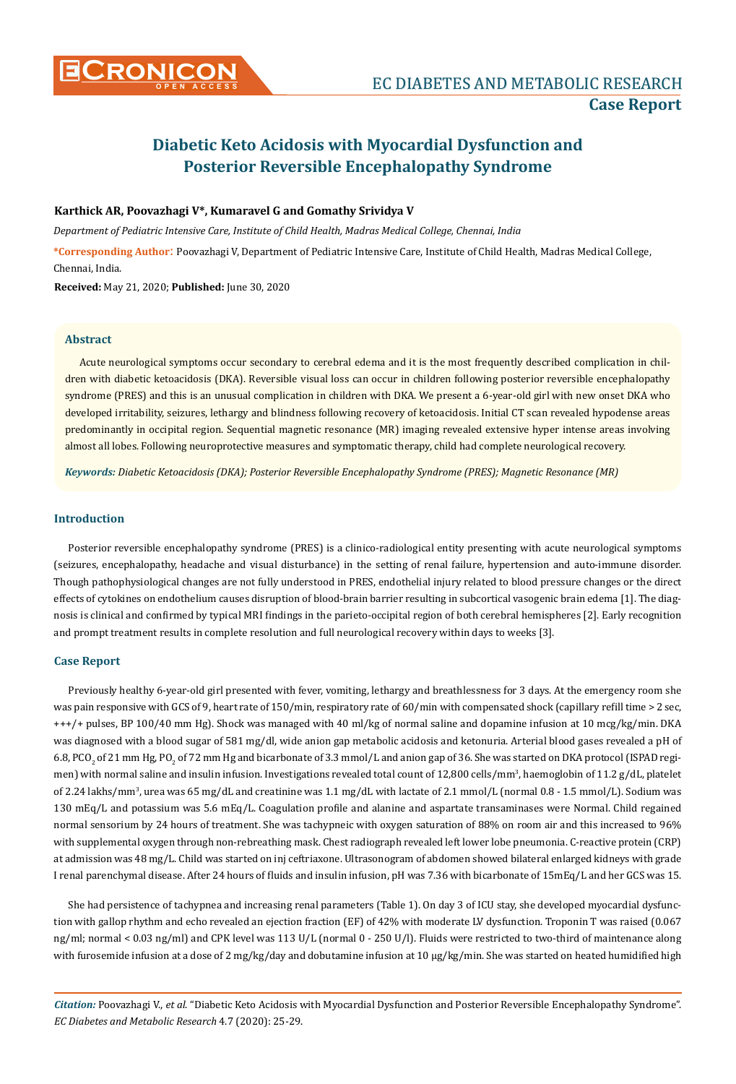# **Diabetic Keto Acidosis with Myocardial Dysfunction and Posterior Reversible Encephalopathy Syndrome**

# **Karthick AR, Poovazhagi V\*, Kumaravel G and Gomathy Srividya V**

*Department of Pediatric Intensive Care, Institute of Child Health, Madras Medical College, Chennai, India*

**\*Corresponding Author**: Poovazhagi V, Department of Pediatric Intensive Care, Institute of Child Health, Madras Medical College, Chennai, India.

**Received:** May 21, 2020; **Published:** June 30, 2020

#### **Abstract**

Acute neurological symptoms occur secondary to cerebral edema and it is the most frequently described complication in children with diabetic ketoacidosis (DKA). Reversible visual loss can occur in children following posterior reversible encephalopathy syndrome (PRES) and this is an unusual complication in children with DKA. We present a 6-year-old girl with new onset DKA who developed irritability, seizures, lethargy and blindness following recovery of ketoacidosis. Initial CT scan revealed hypodense areas predominantly in occipital region. Sequential magnetic resonance (MR) imaging revealed extensive hyper intense areas involving almost all lobes. Following neuroprotective measures and symptomatic therapy, child had complete neurological recovery.

*Keywords: Diabetic Ketoacidosis (DKA); Posterior Reversible Encephalopathy Syndrome (PRES); Magnetic Resonance (MR)*

## **Introduction**

Posterior reversible encephalopathy syndrome (PRES) is a clinico-radiological entity presenting with acute neurological symptoms (seizures, encephalopathy, headache and visual disturbance) in the setting of renal failure, hypertension and auto-immune disorder. Though pathophysiological changes are not fully understood in PRES, endothelial injury related to blood pressure changes or the direct effects of cytokines on endothelium causes disruption of blood-brain barrier resulting in subcortical vasogenic brain edema [1]. The diagnosis is clinical and confirmed by typical MRI findings in the parieto-occipital region of both cerebral hemispheres [2]. Early recognition and prompt treatment results in complete resolution and full neurological recovery within days to weeks [3].

## **Case Report**

Previously healthy 6-year-old girl presented with fever, vomiting, lethargy and breathlessness for 3 days. At the emergency room she was pain responsive with GCS of 9, heart rate of 150/min, respiratory rate of 60/min with compensated shock (capillary refill time > 2 sec, +++/+ pulses, BP 100/40 mm Hg). Shock was managed with 40 ml/kg of normal saline and dopamine infusion at 10 mcg/kg/min. DKA was diagnosed with a blood sugar of 581 mg/dl, wide anion gap metabolic acidosis and ketonuria. Arterial blood gases revealed a pH of 6.8, PCO<sub>2</sub> of 21 mm Hg, PO<sub>2</sub> of 72 mm Hg and bicarbonate of 3.3 mmol/L and anion gap of 36. She was started on DKA protocol (ISPAD regimen) with normal saline and insulin infusion. Investigations revealed total count of 12,800 cells/mm<sup>3</sup> , haemoglobin of 11.2 g/dL, platelet of 2.24 lakhs/mm<sup>3</sup>, urea was 65 mg/dL and creatinine was 1.1 mg/dL with lactate of 2.1 mmol/L (normal 0.8 - 1.5 mmol/L). Sodium was 130 mEq/L and potassium was 5.6 mEq/L. Coagulation profile and alanine and aspartate transaminases were Normal. Child regained normal sensorium by 24 hours of treatment. She was tachypneic with oxygen saturation of 88% on room air and this increased to 96% with supplemental oxygen through non-rebreathing mask. Chest radiograph revealed left lower lobe pneumonia. C-reactive protein (CRP) at admission was 48 mg/L. Child was started on inj ceftriaxone. Ultrasonogram of abdomen showed bilateral enlarged kidneys with grade I renal parenchymal disease. After 24 hours of fluids and insulin infusion, pH was 7.36 with bicarbonate of 15mEq/L and her GCS was 15.

She had persistence of tachypnea and increasing renal parameters (Table 1). On day 3 of ICU stay, she developed myocardial dysfunction with gallop rhythm and echo revealed an ejection fraction (EF) of 42% with moderate LV dysfunction. Troponin T was raised (0.067 ng/ml; normal < 0.03 ng/ml) and CPK level was 113 U/L (normal 0 - 250 U/l). Fluids were restricted to two-third of maintenance along with furosemide infusion at a dose of 2 mg/kg/day and dobutamine infusion at 10 µg/kg/min. She was started on heated humidified high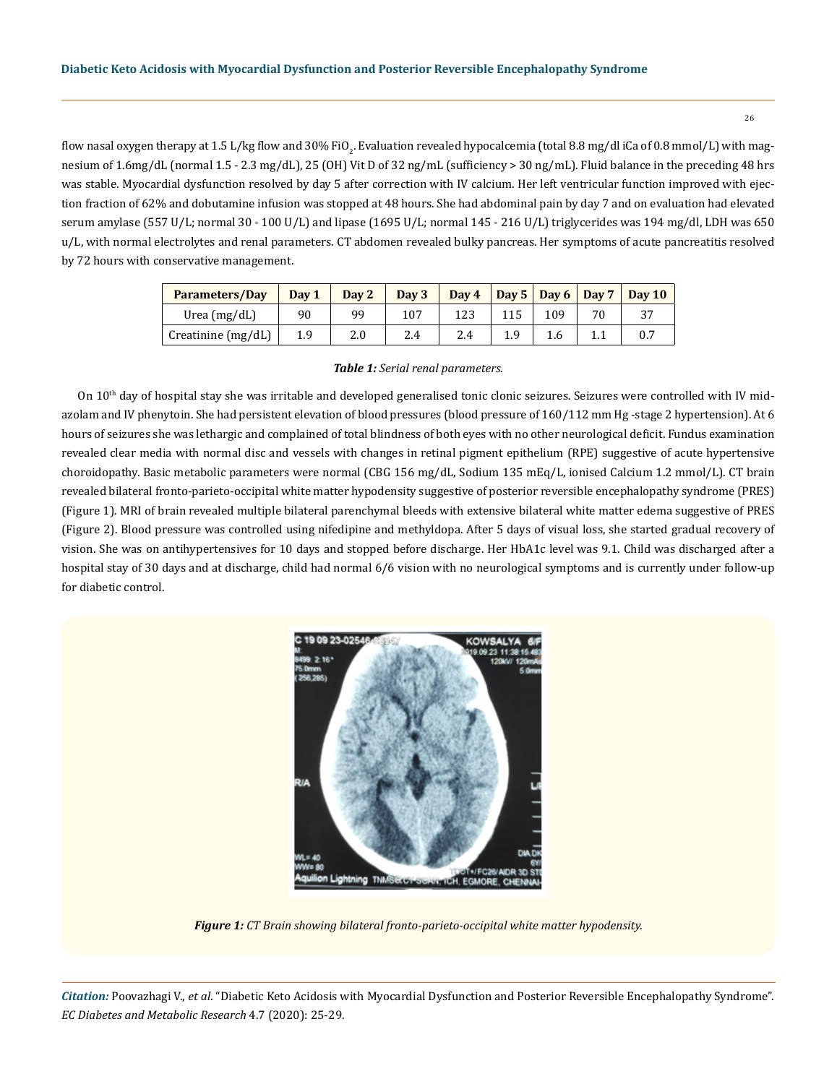flow nasal oxygen therapy at 1.5 L/kg flow and 30% FiO<sub>2</sub>. Evaluation revealed hypocalcemia (total 8.8 mg/dl iCa of 0.8 mmol/L) with magnesium of 1.6mg/dL (normal 1.5 - 2.3 mg/dL), 25 (OH) Vit D of 32 ng/mL (sufficiency > 30 ng/mL). Fluid balance in the preceding 48 hrs was stable. Myocardial dysfunction resolved by day 5 after correction with IV calcium. Her left ventricular function improved with ejection fraction of 62% and dobutamine infusion was stopped at 48 hours. She had abdominal pain by day 7 and on evaluation had elevated serum amylase (557 U/L; normal 30 - 100 U/L) and lipase (1695 U/L; normal 145 - 216 U/L) triglycerides was 194 mg/dl, LDH was 650 u/L, with normal electrolytes and renal parameters. CT abdomen revealed bulky pancreas. Her symptoms of acute pancreatitis resolved by 72 hours with conservative management.

| Parameters/Day       | Day 1 | Day 2 | Day 3 | Day 4 |     |     | $\vert$ Day 5   Day 6   Day 7 | $\sqrt{2}$ Day 10 |
|----------------------|-------|-------|-------|-------|-----|-----|-------------------------------|-------------------|
| Urea $(mg/dL)$       | 90    | 99    |       |       |     | 109 |                               |                   |
| Creatinine $(mg/dL)$ | 1.9   | 2.0   | 2.4   | 2.4   | 1.9 |     |                               |                   |

#### *Table 1: Serial renal parameters.*

On  $10<sup>th</sup>$  day of hospital stay she was irritable and developed generalised tonic clonic seizures. Seizures were controlled with IV midazolam and IV phenytoin. She had persistent elevation of blood pressures (blood pressure of 160/112 mm Hg-stage 2 hypertension). At 6 hours of seizures she was lethargic and complained of total blindness of both eyes with no other neurological deficit. Fundus examination revealed clear media with normal disc and vessels with changes in retinal pigment epithelium (RPE) suggestive of acute hypertensive choroidopathy. Basic metabolic parameters were normal (CBG 156 mg/dL, Sodium 135 mEq/L, ionised Calcium 1.2 mmol/L). CT brain revealed bilateral fronto-parieto-occipital white matter hypodensity suggestive of posterior reversible encephalopathy syndrome (PRES) (Figure 1). MRI of brain revealed multiple bilateral parenchymal bleeds with extensive bilateral white matter edema suggestive of PRES (Figure 2). Blood pressure was controlled using nifedipine and methyldopa. After 5 days of visual loss, she started gradual recovery of vision. She was on antihypertensives for 10 days and stopped before discharge. Her HbA1c level was 9.1. Child was discharged after a hospital stay of 30 days and at discharge, child had normal 6/6 vision with no neurological symptoms and is currently under follow-up for diabetic control.



*Figure 1: CT Brain showing bilateral fronto-parieto-occipital white matter hypodensity.*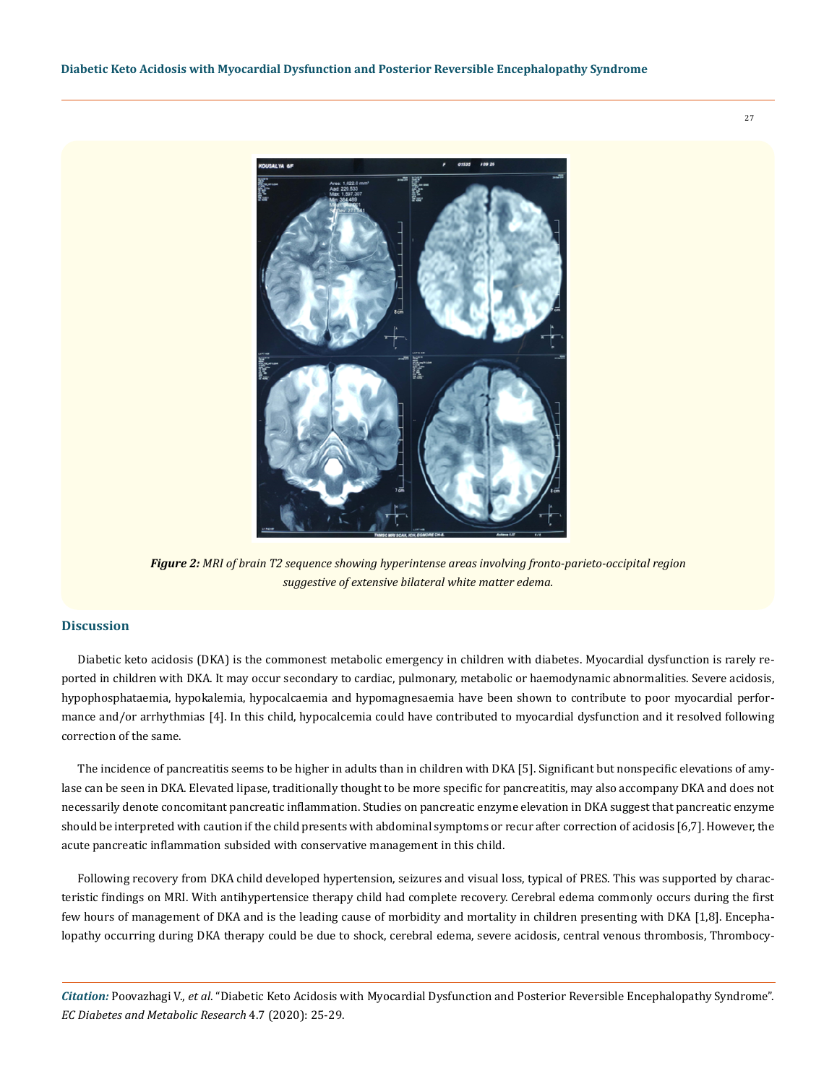27



*Figure 2: MRI of brain T2 sequence showing hyperintense areas involving fronto-parieto-occipital region suggestive of extensive bilateral white matter edema.*

## **Discussion**

Diabetic keto acidosis (DKA) is the commonest metabolic emergency in children with diabetes. Myocardial dysfunction is rarely reported in children with DKA. It may occur secondary to cardiac, pulmonary, metabolic or haemodynamic abnormalities. Severe acidosis, hypophosphataemia, hypokalemia, hypocalcaemia and hypomagnesaemia have been shown to contribute to poor myocardial performance and/or arrhythmias [4]. In this child, hypocalcemia could have contributed to myocardial dysfunction and it resolved following correction of the same.

The incidence of pancreatitis seems to be higher in adults than in children with DKA [5]. Significant but nonspecific elevations of amylase can be seen in DKA. Elevated lipase, traditionally thought to be more specific for pancreatitis, may also accompany DKA and does not necessarily denote concomitant pancreatic inflammation. Studies on pancreatic enzyme elevation in DKA suggest that pancreatic enzyme should be interpreted with caution if the child presents with abdominal symptoms or recur after correction of acidosis [6,7]. However, the acute pancreatic inflammation subsided with conservative management in this child.

Following recovery from DKA child developed hypertension, seizures and visual loss, typical of PRES. This was supported by characteristic findings on MRI. With antihypertensice therapy child had complete recovery. Cerebral edema commonly occurs during the first few hours of management of DKA and is the leading cause of morbidity and mortality in children presenting with DKA [1,8]. Encephalopathy occurring during DKA therapy could be due to shock, cerebral edema, severe acidosis, central venous thrombosis, Thrombocy-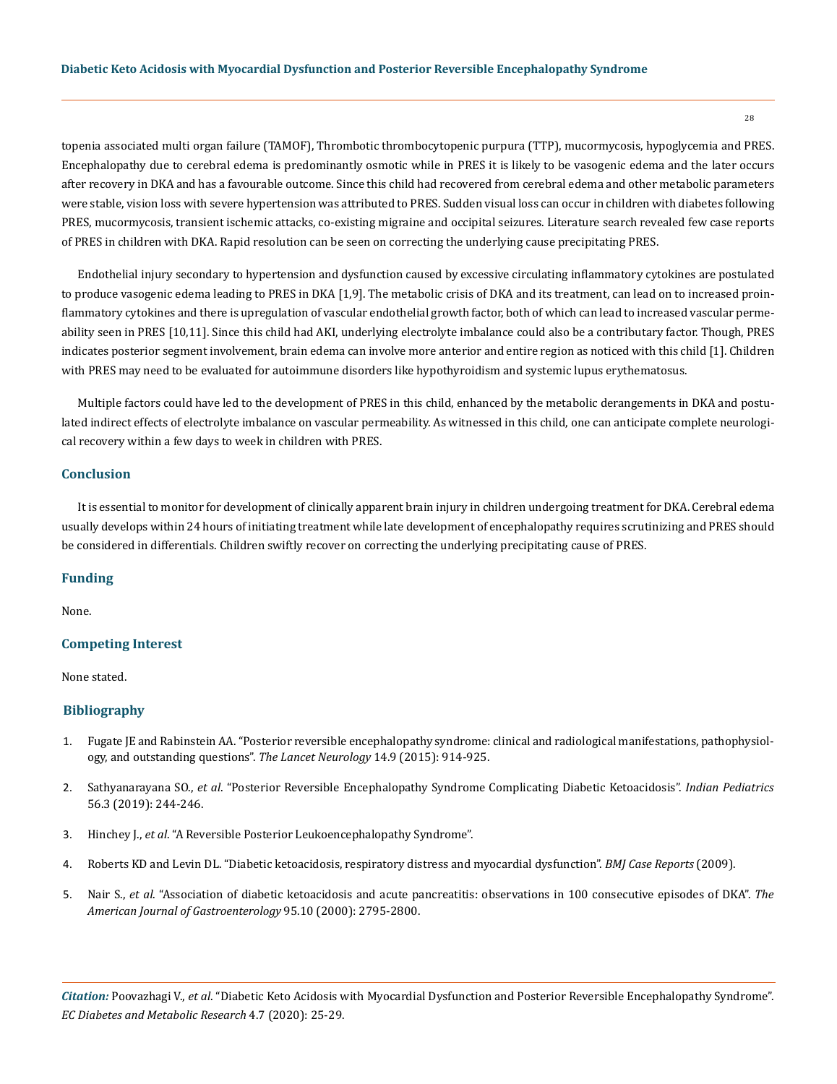topenia associated multi organ failure (TAMOF), Thrombotic thrombocytopenic purpura (TTP), mucormycosis, hypoglycemia and PRES. Encephalopathy due to cerebral edema is predominantly osmotic while in PRES it is likely to be vasogenic edema and the later occurs after recovery in DKA and has a favourable outcome. Since this child had recovered from cerebral edema and other metabolic parameters were stable, vision loss with severe hypertension was attributed to PRES. Sudden visual loss can occur in children with diabetes following PRES, mucormycosis, transient ischemic attacks, co-existing migraine and occipital seizures. Literature search revealed few case reports of PRES in children with DKA. Rapid resolution can be seen on correcting the underlying cause precipitating PRES.

Endothelial injury secondary to hypertension and dysfunction caused by excessive circulating inflammatory cytokines are postulated to produce vasogenic edema leading to PRES in DKA [1,9]. The metabolic crisis of DKA and its treatment, can lead on to increased proinflammatory cytokines and there is upregulation of vascular endothelial growth factor, both of which can lead to increased vascular permeability seen in PRES [10,11]. Since this child had AKI, underlying electrolyte imbalance could also be a contributary factor. Though, PRES indicates posterior segment involvement, brain edema can involve more anterior and entire region as noticed with this child [1]. Children with PRES may need to be evaluated for autoimmune disorders like hypothyroidism and systemic lupus erythematosus.

Multiple factors could have led to the development of PRES in this child, enhanced by the metabolic derangements in DKA and postulated indirect effects of electrolyte imbalance on vascular permeability. As witnessed in this child, one can anticipate complete neurological recovery within a few days to week in children with PRES.

## **Conclusion**

It is essential to monitor for development of clinically apparent brain injury in children undergoing treatment for DKA. Cerebral edema usually develops within 24 hours of initiating treatment while late development of encephalopathy requires scrutinizing and PRES should be considered in differentials. Children swiftly recover on correcting the underlying precipitating cause of PRES.

#### **Funding**

None.

#### **Competing Interest**

None stated.

#### **Bibliography**

- 1. [Fugate JE and Rabinstein AA. "Posterior reversible encephalopathy syndrome: clinical and radiological manifestations, pathophysiol](https://pubmed.ncbi.nlm.nih.gov/26184985/)[ogy, and outstanding questions".](https://pubmed.ncbi.nlm.nih.gov/26184985/) *The Lancet Neurology* 14.9 (2015): 914-925.
- 2. Sathyanarayana SO., *et al*. "Posterior Reversible Encephalopathy Syndrome Complicating Diabetic Ketoacidosis". *Indian Pediatrics* 56.3 (2019): 244-246.
- 3. Hinchey J., *et al*. "A Reversible Posterior Leukoencephalopathy Syndrome".
- 4. [Roberts KD and Levin DL. "Diabetic ketoacidosis, respiratory distress and myocardial dysfunction".](https://www.ncbi.nlm.nih.gov/pmc/articles/PMC3028211/) *BMJ Case Reports* (2009).
- 5. Nair S., *et al*[. "Association of diabetic ketoacidosis and acute pancreatitis: observations in 100 consecutive episodes of DKA".](https://pubmed.ncbi.nlm.nih.gov/11051350/) *The [American Journal of Gastroenterology](https://pubmed.ncbi.nlm.nih.gov/11051350/)* 95.10 (2000): 2795-2800.

*Citation:* Poovazhagi V., *et al*. "Diabetic Keto Acidosis with Myocardial Dysfunction and Posterior Reversible Encephalopathy Syndrome". *EC Diabetes and Metabolic Research* 4.7 (2020): 25-29.

28